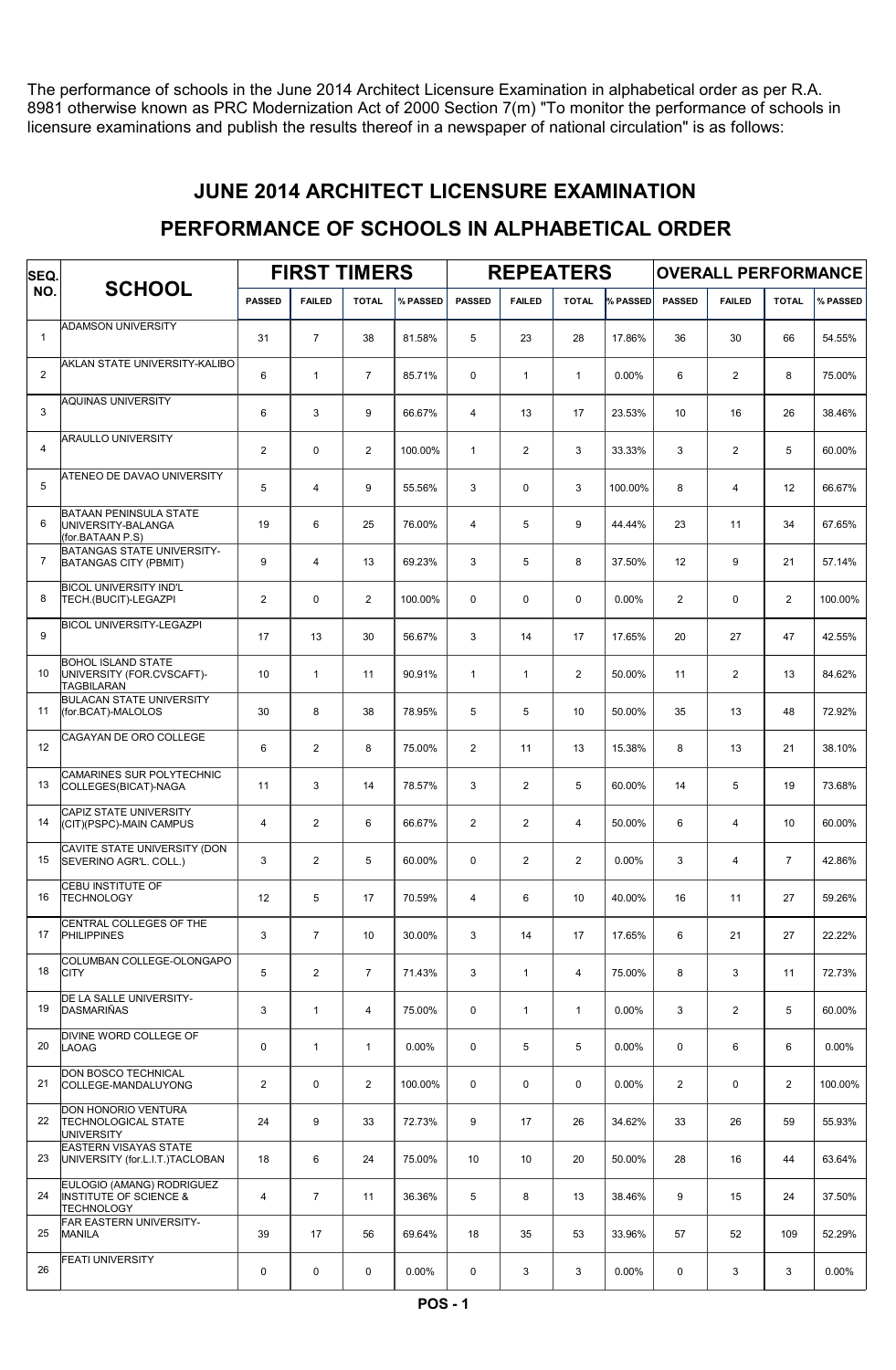The performance of schools in the June 2014 Architect Licensure Examination in alphabetical order as per R.A. 8981 otherwise known as PRC Modernization Act of 2000 Section 7(m) "To monitor the performance of schools in licensure examinations and publish the results thereof in a newspaper of national circulation" is as follows:

### JUNE 2014 ARCHITECT LICENSURE EXAMINATION

### PERFORMANCE OF SCHOOLS IN ALPHABETICAL ORDER

| SEQ.           | <b>SCHOOL</b>                                                                       | <b>FIRST TIMERS</b> |                |                |          |                 | <b>REPEATERS</b>        |                 |          | <b>OVERALL PERFORMANCE</b> |                |                |          |
|----------------|-------------------------------------------------------------------------------------|---------------------|----------------|----------------|----------|-----------------|-------------------------|-----------------|----------|----------------------------|----------------|----------------|----------|
| NO.            |                                                                                     | <b>PASSED</b>       | <b>FAILED</b>  | <b>TOTAL</b>   | % PASSED | <b>PASSED</b>   | <b>FAILED</b>           | <b>TOTAL</b>    | % PASSED | <b>PASSED</b>              | <b>FAILED</b>  | <b>TOTAL</b>   | % PASSED |
| $\mathbf{1}$   | <b>ADAMSON UNIVERSITY</b>                                                           | 31                  | $\overline{7}$ | 38             | 81.58%   | 5               | 23                      | 28              | 17.86%   | 36                         | 30             | 66             | 54.55%   |
| 2              | AKLAN STATE UNIVERSITY-KALIBO                                                       | 6                   | $\mathbf{1}$   | $\overline{7}$ | 85.71%   | $\mathbf 0$     | $\mathbf{1}$            | $\mathbf{1}$    | $0.00\%$ | 6                          | 2              | 8              | 75.00%   |
| 3              | <b>AQUINAS UNIVERSITY</b>                                                           | 6                   | 3              | 9              | 66.67%   | $\overline{4}$  | 13                      | 17              | 23.53%   | 10                         | 16             | 26             | 38.46%   |
| 4              | <b>ARAULLO UNIVERSITY</b>                                                           | $\mathbf{2}$        | $\mathbf 0$    | $\overline{2}$ | 100.00%  | $\mathbf{1}$    | $\overline{\mathbf{c}}$ | 3               | 33.33%   | 3                          | $\overline{2}$ | 5              | 60.00%   |
| 5              | ATENEO DE DAVAO UNIVERSITY                                                          | 5                   | $\overline{4}$ | 9              | 55.56%   | 3               | 0                       | 3               | 100.00%  | 8                          | $\overline{4}$ | 12             | 66.67%   |
| 6              | <b>BATAAN PENINSULA STATE</b><br>UNIVERSITY-BALANGA<br>(for.BATAAN P.S)             | 19                  | 6              | 25             | 76.00%   | $\overline{4}$  | 5                       | 9               | 44.44%   | 23                         | 11             | 34             | 67.65%   |
| $\overline{7}$ | <b>BATANGAS STATE UNIVERSITY-</b><br><b>BATANGAS CITY (PBMIT)</b>                   | 9                   | 4              | 13             | 69.23%   | 3               | 5                       | 8               | 37.50%   | 12                         | 9              | 21             | 57.14%   |
| 8              | <b>BICOL UNIVERSITY IND'L</b><br>TECH.(BUCIT)-LEGAZPI                               | $\overline{2}$      | $\Omega$       | $\overline{2}$ | 100.00%  | $\Omega$        | 0                       | $\mathbf 0$     | 0.00%    | $\overline{2}$             | $\mathbf 0$    | $\overline{2}$ | 100.00%  |
| 9              | <b>BICOL UNIVERSITY-LEGAZPI</b>                                                     | 17                  | 13             | 30             | 56.67%   | 3               | 14                      | 17              | 17.65%   | 20                         | 27             | 47             | 42.55%   |
| 10             | <b>BOHOL ISLAND STATE</b><br>UNIVERSITY (FOR.CVSCAFT)-<br><b>TAGBILARAN</b>         | 10 <sup>10</sup>    | $\mathbf{1}$   | 11             | 90.91%   | $\mathbf{1}$    | $\mathbf{1}$            | $\overline{2}$  | 50.00%   | 11                         | 2              | 13             | 84.62%   |
| 11             | <b>BULACAN STATE UNIVERSITY</b><br>(for.BCAT)-MALOLOS                               | 30                  | 8              | 38             | 78.95%   | 5               | 5                       | 10 <sup>°</sup> | 50.00%   | 35                         | 13             | 48             | 72.92%   |
| 12             | CAGAYAN DE ORO COLLEGE                                                              | 6                   | 2              | 8              | 75.00%   | $\overline{2}$  | 11                      | 13              | 15.38%   | 8                          | 13             | 21             | 38.10%   |
| 13             | <b>CAMARINES SUR POLYTECHNIC</b><br>COLLEGES(BICAT)-NAGA                            | 11                  | 3              | 14             | 78.57%   | 3               | $\mathbf{2}$            | 5               | 60.00%   | 14                         | 5              | 19             | 73.68%   |
| 14             | <b>CAPIZ STATE UNIVERSITY</b><br>(CIT)(PSPC)-MAIN CAMPUS                            | $\overline{4}$      | 2              | 6              | 66.67%   | 2               | $\mathbf{2}$            | $\overline{4}$  | 50.00%   | 6                          | $\overline{4}$ | 10             | 60.00%   |
| 15             | CAVITE STATE UNIVERSITY (DON<br>SEVERINO AGR'L. COLL.)                              | 3                   | 2              | 5              | 60.00%   | $\mathbf 0$     | $\overline{2}$          | $\overline{2}$  | 0.00%    | 3                          | $\overline{4}$ | $\overline{7}$ | 42.86%   |
| 16             | CEBU INSTITUTE OF<br><b>TECHNOLOGY</b>                                              | 12                  | 5              | 17             | 70.59%   | $\overline{4}$  | 6                       | 10              | 40.00%   | 16                         | 11             | 27             | 59.26%   |
| 17             | CENTRAL COLLEGES OF THE<br>PHILIPPINES                                              | 3                   | $\overline{7}$ | 10             | 30.00%   | 3               | 14                      | 17              | 17.65%   | 6                          | 21             | 27             | 22.22%   |
| 18             | COLUMBAN COLLEGE-OLONGAPO<br><b>CITY</b>                                            | 5                   | $\overline{2}$ | $\overline{7}$ | 71.43%   | 3               | $\mathbf{1}$            | 4               | 75.00%   | 8                          | 3              | 11             | 72.73%   |
| 19             | DE LA SALLE UNIVERSITY-<br>DASMARIÑAS                                               | 3                   | $\mathbf{1}$   | $\overline{4}$ | 75.00%   | $\mathbf 0$     | $\mathbf{1}$            | $\mathbf{1}$    | 0.00%    | 3                          | $\overline{2}$ | 5              | 60.00%   |
| 20             | DIVINE WORD COLLEGE OF<br><b>LAOAG</b>                                              | 0                   | $\mathbf{1}$   | $\mathbf{1}$   | $0.00\%$ | $\mathbf 0$     | 5                       | 5               | 0.00%    | 0                          | 6              | 6              | $0.00\%$ |
| 21             | <b>DON BOSCO TECHNICAL</b><br>COLLEGE-MANDALUYONG                                   | $\overline{2}$      | $\mathbf 0$    | $\overline{2}$ | 100.00%  | 0               | $\mathbf 0$             | $\mathbf 0$     | 0.00%    | $\overline{2}$             | $\mathbf 0$    | $\mathbf{2}$   | 100.00%  |
| 22             | DON HONORIO VENTURA<br><b>TECHNOLOGICAL STATE</b><br>UNIVERSITY                     | 24                  | 9              | 33             | 72.73%   | 9               | 17                      | 26              | 34.62%   | 33                         | 26             | 59             | 55.93%   |
| 23             | <b>EASTERN VISAYAS STATE</b><br>UNIVERSITY (for.L.I.T.)TACLOBAN                     | 18                  | 6              | 24             | 75.00%   | 10 <sup>1</sup> | 10                      | 20              | 50.00%   | 28                         | 16             | 44             | 63.64%   |
| 24             | EULOGIO (AMANG) RODRIGUEZ<br><b>INSTITUTE OF SCIENCE &amp;</b><br><b>TECHNOLOGY</b> | 4                   | $\overline{7}$ | 11             | 36.36%   | 5               | 8                       | 13              | 38.46%   | 9                          | 15             | 24             | 37.50%   |
| 25             | FAR EASTERN UNIVERSITY-<br><b>MANILA</b>                                            | 39                  | 17             | 56             | 69.64%   | 18              | 35                      | 53              | 33.96%   | 57                         | 52             | 109            | 52.29%   |
| 26             | <b>FEATI UNIVERSITY</b>                                                             | 0                   | 0              | 0              | $0.00\%$ | 0               | 3                       | 3               | 0.00%    | 0                          | 3              | 3              | $0.00\%$ |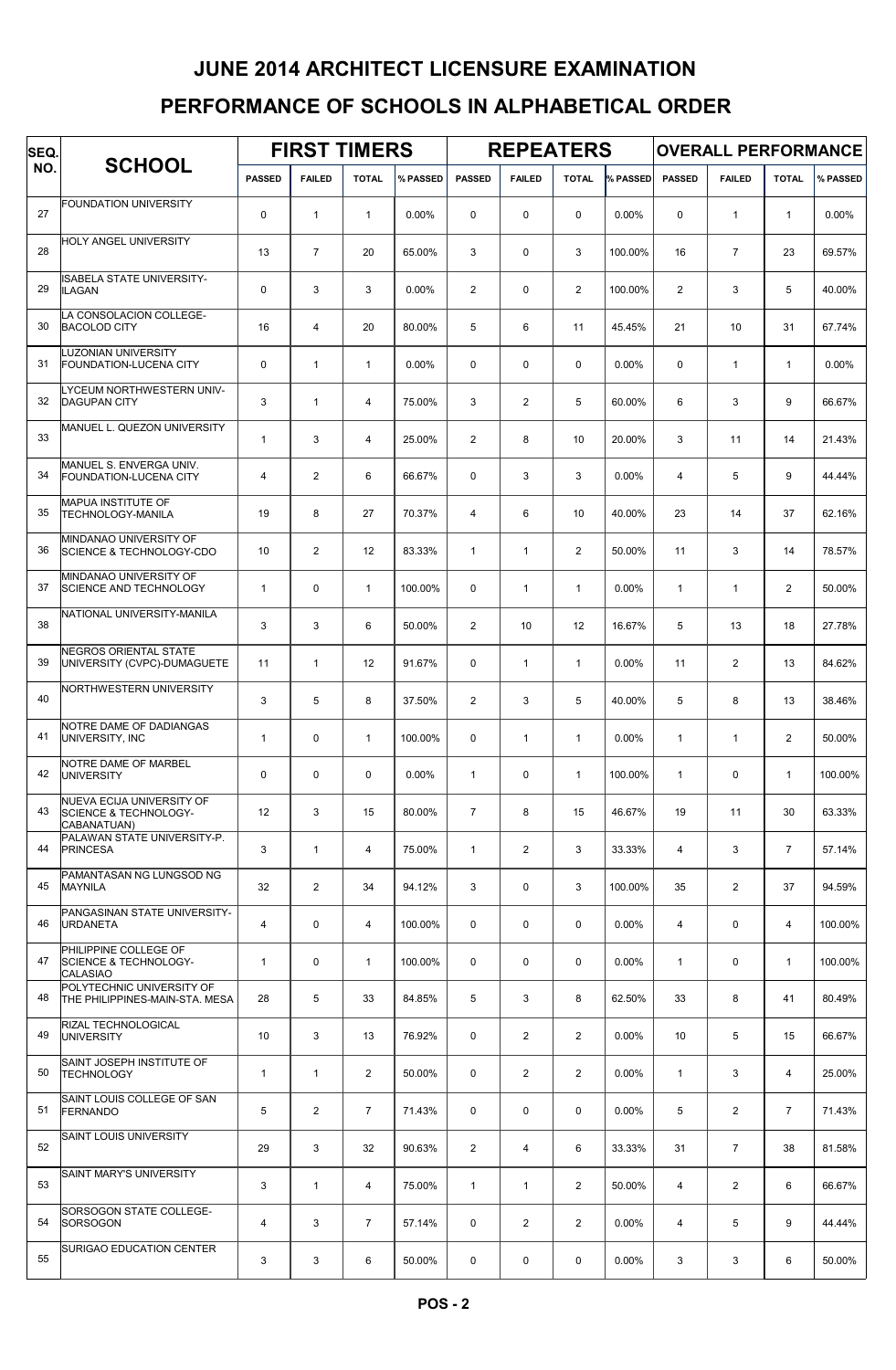# PERFORMANCE OF SCHOOLS IN ALPHABETICAL ORDER JUNE 2014 ARCHITECT LICENSURE EXAMINATION

| SEQ. |                                                                              | <b>FIRST TIMERS</b> |                |                |          | <b>REPEATERS</b> |                |                 | <b>OVERALL PERFORMANCE</b> |                 |                |                |          |
|------|------------------------------------------------------------------------------|---------------------|----------------|----------------|----------|------------------|----------------|-----------------|----------------------------|-----------------|----------------|----------------|----------|
| NO.  | <b>SCHOOL</b>                                                                | <b>PASSED</b>       | <b>FAILED</b>  | <b>TOTAL</b>   | % PASSED | <b>PASSED</b>    | <b>FAILED</b>  | <b>TOTAL</b>    | % PASSED                   | <b>PASSED</b>   | <b>FAILED</b>  | <b>TOTAL</b>   | % PASSED |
| 27   | <b>FOUNDATION UNIVERSITY</b>                                                 | $\mathbf 0$         | $\overline{1}$ | $\mathbf{1}$   | 0.00%    | $\mathbf 0$      | $\mathbf 0$    | 0               | $0.00\%$                   | $\mathbf 0$     | $\mathbf{1}$   | $\mathbf{1}$   | 0.00%    |
| 28   | HOLY ANGEL UNIVERSITY                                                        | 13                  | $\overline{7}$ | 20             | 65.00%   | 3                | $\mathbf 0$    | 3               | 100.00%                    | 16              | $\overline{7}$ | 23             | 69.57%   |
| 29   | <b>ISABELA STATE UNIVERSITY-</b><br><b>ILAGAN</b>                            | 0                   | 3              | 3              | 0.00%    | 2                | $\mathbf 0$    | $\overline{2}$  | 100.00%                    | $\overline{2}$  | 3              | 5              | 40.00%   |
| 30   | LA CONSOLACION COLLEGE-<br><b>BACOLOD CITY</b>                               | 16                  | $\overline{4}$ | 20             | 80.00%   | 5                | 6              | 11              | 45.45%                     | 21              | 10             | 31             | 67.74%   |
| 31   | <b>LUZONIAN UNIVERSITY</b><br><b>FOUNDATION-LUCENA CITY</b>                  | $\mathbf 0$         | $\mathbf{1}$   | $\mathbf{1}$   | 0.00%    | $\mathbf 0$      | 0              | $\mathbf 0$     | 0.00%                      | $\mathbf 0$     | $\mathbf{1}$   | $\mathbf{1}$   | 0.00%    |
| 32   | LYCEUM NORTHWESTERN UNIV-<br><b>DAGUPAN CITY</b>                             | 3                   | $\overline{1}$ | $\overline{4}$ | 75.00%   | 3                | $\overline{2}$ | 5               | 60.00%                     | 6               | 3              | 9              | 66.67%   |
| 33   | MANUEL L. QUEZON UNIVERSITY                                                  | $\mathbf{1}$        | 3              | 4              | 25.00%   | 2                | 8              | 10              | 20.00%                     | 3               | 11             | 14             | 21.43%   |
| 34   | MANUEL S. ENVERGA UNIV.<br><b>FOUNDATION-LUCENA CITY</b>                     | $\overline{4}$      | 2              | 6              | 66.67%   | $\mathbf 0$      | 3              | 3               | $0.00\%$                   | $\overline{4}$  | 5              | 9              | 44.44%   |
| 35   | MAPUA INSTITUTE OF<br><b>TECHNOLOGY-MANILA</b>                               | 19                  | 8              | 27             | 70.37%   | $\overline{4}$   | 6              | 10 <sup>°</sup> | 40.00%                     | 23              | 14             | 37             | 62.16%   |
| 36   | MINDANAO UNIVERSITY OF<br><b>SCIENCE &amp; TECHNOLOGY-CDO</b>                | 10                  | 2              | 12             | 83.33%   | $\mathbf{1}$     | $\mathbf{1}$   | $\mathbf{2}$    | 50.00%                     | 11              | 3              | 14             | 78.57%   |
| 37   | MINDANAO UNIVERSITY OF<br><b>SCIENCE AND TECHNOLOGY</b>                      | $\mathbf{1}$        | $\mathbf 0$    | $\mathbf{1}$   | 100.00%  | $\mathbf 0$      | $\mathbf{1}$   | $\mathbf{1}$    | 0.00%                      | $\mathbf{1}$    | $\mathbf{1}$   | 2              | 50.00%   |
| 38   | NATIONAL UNIVERSITY-MANILA                                                   | 3                   | 3              | 6              | 50.00%   | 2                | 10             | 12              | 16.67%                     | 5               | 13             | 18             | 27.78%   |
| 39   | <b>NEGROS ORIENTAL STATE</b><br>UNIVERSITY (CVPC)-DUMAGUETE                  | 11                  | $\overline{1}$ | 12             | 91.67%   | $\mathbf 0$      | $\mathbf{1}$   | $\mathbf{1}$    | 0.00%                      | 11              | $\overline{2}$ | 13             | 84.62%   |
| 40   | NORTHWESTERN UNIVERSITY                                                      | 3                   | 5              | 8              | 37.50%   | 2                | 3              | 5               | 40.00%                     | 5               | 8              | 13             | 38.46%   |
| 41   | NOTRE DAME OF DADIANGAS<br>UNIVERSITY, INC                                   | $\mathbf{1}$        | $\mathbf 0$    | $\mathbf{1}$   | 100.00%  | $\mathbf 0$      | $\mathbf{1}$   | $\mathbf{1}$    | $0.00\%$                   | $\mathbf{1}$    | $\mathbf{1}$   | $\overline{2}$ | 50.00%   |
| 42   | NOTRE DAME OF MARBEL<br><b>UNIVERSITY</b>                                    | 0                   | $\mathbf 0$    | $\mathbf 0$    | 0.00%    | $\mathbf{1}$     | $\mathbf 0$    | $\mathbf{1}$    | 100.00%                    | $\mathbf{1}$    | $\mathbf 0$    | $\mathbf{1}$   | 100.00%  |
| 43   | NUEVA ECIJA UNIVERSITY OF<br><b>SCIENCE &amp; TECHNOLOGY-</b><br>CABANATUAN) | 12 <sup>°</sup>     | 3              | 15             | 80.00%   | $\overline{7}$   | 8              | 15              | 46.67%                     | 19              | 11             | 30             | 63.33%   |
| 44   | PALAWAN STATE UNIVERSITY-P.<br><b>PRINCESA</b>                               | 3                   | $\mathbf{1}$   | $\overline{4}$ | 75.00%   | $\mathbf{1}$     | $\overline{2}$ | 3               | 33.33%                     | 4               | 3              | $\overline{7}$ | 57.14%   |
| 45   | PAMANTASAN NG LUNGSOD NG<br><b>MAYNILA</b>                                   | 32                  | 2              | 34             | 94.12%   | 3                | $\mathbf 0$    | 3               | 100.00%                    | 35              | $\overline{2}$ | 37             | 94.59%   |
| 46   | PANGASINAN STATE UNIVERSITY-<br><b>URDANETA</b>                              | $\overline{4}$      | $\mathbf 0$    | 4              | 100.00%  | $\mathbf 0$      | $\mathbf 0$    | $\mathbf 0$     | $0.00\%$                   | 4               | $\mathbf 0$    | $\overline{4}$ | 100.00%  |
| 47   | PHILIPPINE COLLEGE OF<br><b>SCIENCE &amp; TECHNOLOGY-</b><br><b>CALASIAO</b> | $\mathbf{1}$        | $\mathbf 0$    | $\mathbf{1}$   | 100.00%  | $\mathbf 0$      | $\mathbf 0$    | $\mathbf 0$     | 0.00%                      | $\mathbf{1}$    | $\mathbf 0$    | $\mathbf{1}$   | 100.00%  |
| 48   | POLYTECHNIC UNIVERSITY OF<br>THE PHILIPPINES-MAIN-STA. MESA                  | 28                  | 5              | 33             | 84.85%   | 5                | 3              | 8               | 62.50%                     | 33              | 8              | 41             | 80.49%   |
| 49   | RIZAL TECHNOLOGICAL<br><b>UNIVERSITY</b>                                     | 10 <sup>°</sup>     | 3              | 13             | 76.92%   | $\mathbf 0$      | 2              | $\overline{2}$  | 0.00%                      | 10 <sup>°</sup> | 5              | 15             | 66.67%   |
| 50   | SAINT JOSEPH INSTITUTE OF<br><b>TECHNOLOGY</b>                               | $\mathbf{1}$        | $\mathbf{1}$   | $\overline{2}$ | 50.00%   | $\mathbf 0$      | $\overline{2}$ | $\overline{2}$  | 0.00%                      | $\mathbf{1}$    | 3              | $\overline{4}$ | 25.00%   |
| 51   | SAINT LOUIS COLLEGE OF SAN<br><b>FERNANDO</b>                                | 5                   | 2              | $\overline{7}$ | 71.43%   | $\mathbf 0$      | 0              | $\mathbf 0$     | 0.00%                      | 5               | $\overline{2}$ | $\overline{7}$ | 71.43%   |
| 52   | <b>SAINT LOUIS UNIVERSITY</b>                                                | 29                  | 3              | 32             | 90.63%   | $\overline{2}$   | 4              | 6               | 33.33%                     | 31              | $\overline{7}$ | 38             | 81.58%   |
| 53   | SAINT MARY'S UNIVERSITY                                                      | 3                   | $\mathbf{1}$   | $\overline{4}$ | 75.00%   | $\mathbf{1}$     | $\mathbf{1}$   | $\overline{2}$  | 50.00%                     | 4               | $\overline{2}$ | 6              | 66.67%   |
| 54   | SORSOGON STATE COLLEGE-<br>SORSOGON                                          | $\overline{4}$      | 3              | $\overline{7}$ | 57.14%   | $\mathbf 0$      | $\overline{2}$ | $\overline{2}$  | 0.00%                      | 4               | 5              | 9              | 44.44%   |
| 55   | SURIGAO EDUCATION CENTER                                                     | 3                   | 3              | 6              | 50.00%   | 0                | 0              | 0               | $0.00\%$                   | 3               | 3              | 6              | 50.00%   |